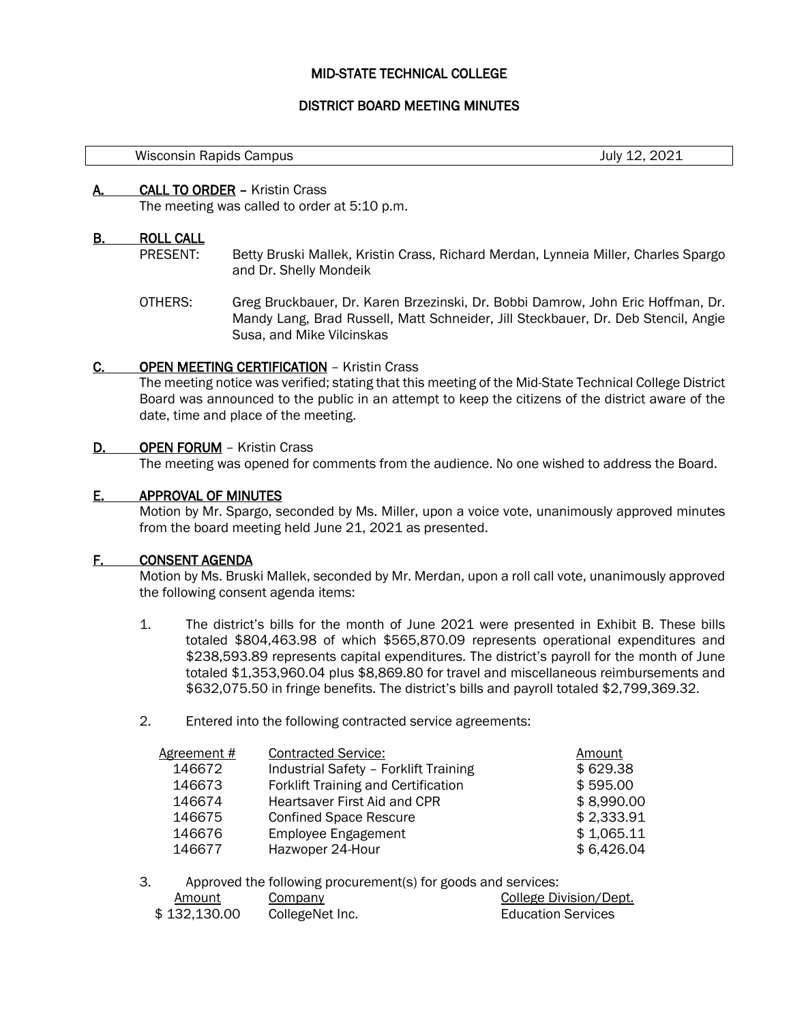## MID-STATE TECHNICAL COLLEGE

## DISTRICT BOARD MEETING MINUTES

Wisconsin Rapids Campus July 12, 2021

#### A. CALL TO ORDER – Kristin Crass

The meeting was called to order at 5:10 p.m.

#### B. ROLL CALL

l,

- PRESENT: Betty Bruski Mallek, Kristin Crass, Richard Merdan, Lynneia Miller, Charles Spargo and Dr. Shelly Mondeik
- OTHERS: Greg Bruckbauer, Dr. Karen Brzezinski, Dr. Bobbi Damrow, John Eric Hoffman, Dr. Mandy Lang, Brad Russell, Matt Schneider, Jill Steckbauer, Dr. Deb Stencil, Angie Susa, and Mike Vilcinskas

## C. OPEN MEETING CERTIFICATION – Kristin Crass

The meeting notice was verified; stating that this meeting of the Mid-State Technical College District Board was announced to the public in an attempt to keep the citizens of the district aware of the date, time and place of the meeting.

#### D. OPEN FORUM - Kristin Crass

The meeting was opened for comments from the audience. No one wished to address the Board.

## E. APPROVAL OF MINUTES

Motion by Mr. Spargo, seconded by Ms. Miller, upon a voice vote, unanimously approved minutes from the board meeting held June 21, 2021 as presented.

## F. CONSENT AGENDA

Motion by Ms. Bruski Mallek, seconded by Mr. Merdan, upon a roll call vote, unanimously approved the following consent agenda items:

- 1. The district's bills for the month of June 2021 were presented in Exhibit B. These bills totaled \$804,463.98 of which \$565,870.09 represents operational expenditures and \$238,593.89 represents capital expenditures. The district's payroll for the month of June totaled \$1,353,960.04 plus \$8,869.80 for travel and miscellaneous reimbursements and \$632,075.50 in fringe benefits. The district's bills and payroll totaled \$2,799,369.32.
- 2. Entered into the following contracted service agreements:

| Agreement # | <b>Contracted Service:</b>                 | Amount     |
|-------------|--------------------------------------------|------------|
| 146672      | Industrial Safety - Forklift Training      | \$629.38   |
| 146673      | <b>Forklift Training and Certification</b> | \$595.00   |
| 146674      | Heartsaver First Aid and CPR               | \$8,990.00 |
| 146675      | <b>Confined Space Rescure</b>              | \$2,333.91 |
| 146676      | <b>Employee Engagement</b>                 | \$1,065.11 |
| 146677      | Hazwoper 24-Hour                           | \$6,426.04 |

3. Approved the following procurement(s) for goods and services:

| Amount       | Company         | College Division/Dept.    |
|--------------|-----------------|---------------------------|
| \$132,130.00 | CollegeNet Inc. | <b>Education Services</b> |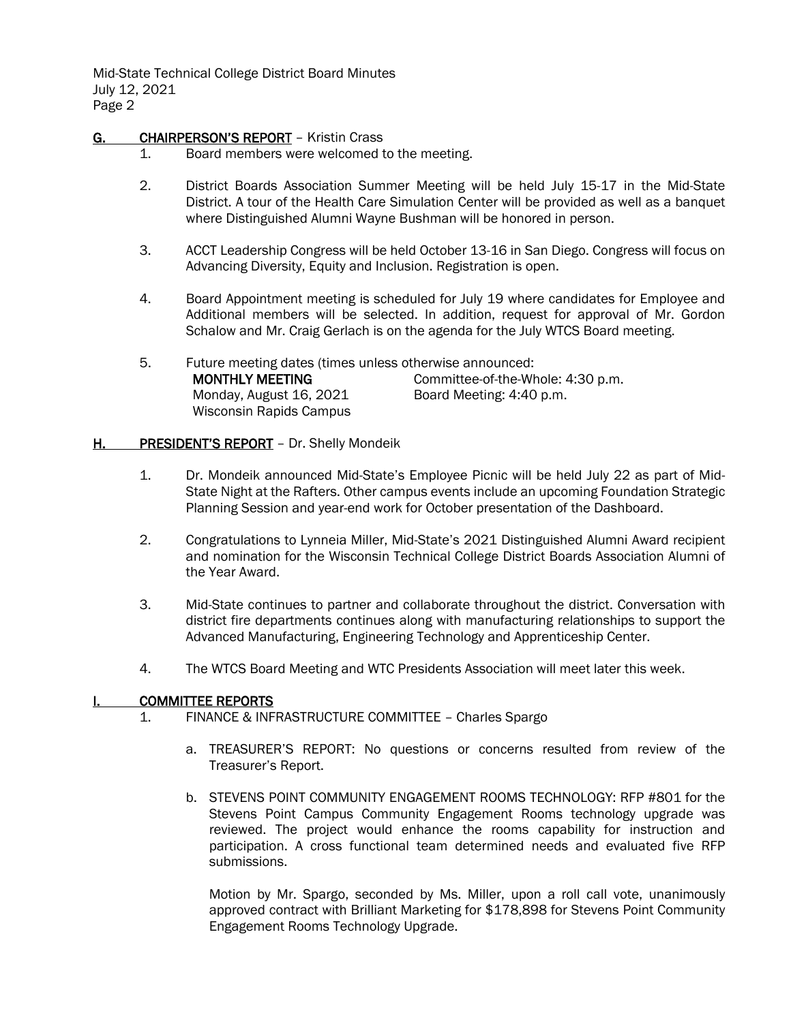Mid-State Technical College District Board Minutes July 12, 2021 Page 2

## G. CHAIRPERSON'S REPORT - Kristin Crass

- 1. Board members were welcomed to the meeting.
- 2. District Boards Association Summer Meeting will be held July 15-17 in the Mid-State District. A tour of the Health Care Simulation Center will be provided as well as a banquet where Distinguished Alumni Wayne Bushman will be honored in person.
- 3. ACCT Leadership Congress will be held October 13-16 in San Diego. Congress will focus on Advancing Diversity, Equity and Inclusion. Registration is open.
- 4. Board Appointment meeting is scheduled for July 19 where candidates for Employee and Additional members will be selected. In addition, request for approval of Mr. Gordon Schalow and Mr. Craig Gerlach is on the agenda for the July WTCS Board meeting.
- 5. Future meeting dates (times unless otherwise announced: MONTHLY MEETING Monday, August 16, 2021 Wisconsin Rapids Campus Committee-of-the-Whole: 4:30 p.m. Board Meeting: 4:40 p.m.

## H. PRESIDENT'S REPORT - Dr. Shelly Mondeik

- 1. Dr. Mondeik announced Mid-State's Employee Picnic will be held July 22 as part of Mid-State Night at the Rafters. Other campus events include an upcoming Foundation Strategic Planning Session and year-end work for October presentation of the Dashboard.
- 2. Congratulations to Lynneia Miller, Mid-State's 2021 Distinguished Alumni Award recipient and nomination for the Wisconsin Technical College District Boards Association Alumni of the Year Award.
- 3. Mid-State continues to partner and collaborate throughout the district. Conversation with district fire departments continues along with manufacturing relationships to support the Advanced Manufacturing, Engineering Technology and Apprenticeship Center.
- 4. The WTCS Board Meeting and WTC Presidents Association will meet later this week.

## I. COMMITTEE REPORTS

- 1. FINANCE & INFRASTRUCTURE COMMITTEE Charles Spargo
	- a. TREASURER'S REPORT: No questions or concerns resulted from review of the Treasurer's Report.
	- b. STEVENS POINT COMMUNITY ENGAGEMENT ROOMS TECHNOLOGY: RFP #801 for the Stevens Point Campus Community Engagement Rooms technology upgrade was reviewed. The project would enhance the rooms capability for instruction and participation. A cross functional team determined needs and evaluated five RFP submissions.

Motion by Mr. Spargo, seconded by Ms. Miller, upon a roll call vote, unanimously approved contract with Brilliant Marketing for \$178,898 for Stevens Point Community Engagement Rooms Technology Upgrade.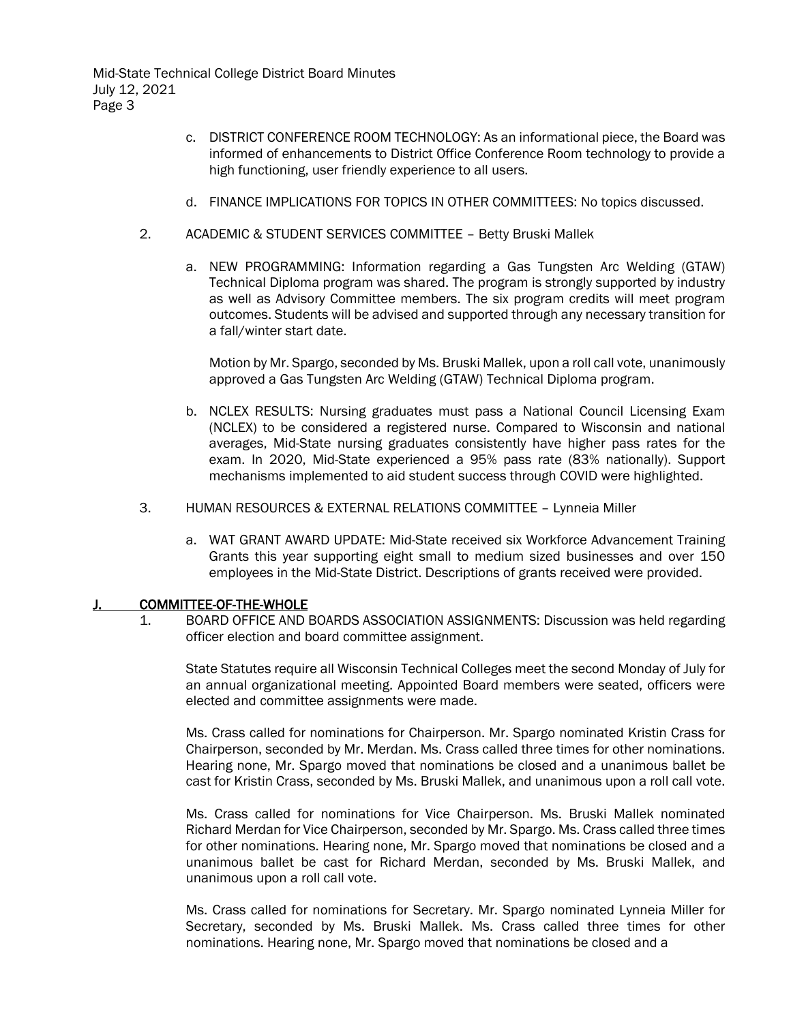Mid-State Technical College District Board Minutes July 12, 2021 Page 3

- c. DISTRICT CONFERENCE ROOM TECHNOLOGY: As an informational piece, the Board was informed of enhancements to District Office Conference Room technology to provide a high functioning, user friendly experience to all users.
- d. FINANCE IMPLICATIONS FOR TOPICS IN OTHER COMMITTEES: No topics discussed.
- 2. ACADEMIC & STUDENT SERVICES COMMITTEE Betty Bruski Mallek
	- a. NEW PROGRAMMING: Information regarding a Gas Tungsten Arc Welding (GTAW) Technical Diploma program was shared. The program is strongly supported by industry as well as Advisory Committee members. The six program credits will meet program outcomes. Students will be advised and supported through any necessary transition for a fall/winter start date.

Motion by Mr. Spargo, seconded by Ms. Bruski Mallek, upon a roll call vote, unanimously approved a Gas Tungsten Arc Welding (GTAW) Technical Diploma program.

- b. NCLEX RESULTS: Nursing graduates must pass a National Council Licensing Exam (NCLEX) to be considered a registered nurse. Compared to Wisconsin and national averages, Mid-State nursing graduates consistently have higher pass rates for the exam. In 2020, Mid-State experienced a 95% pass rate (83% nationally). Support mechanisms implemented to aid student success through COVID were highlighted.
- 3. HUMAN RESOURCES & EXTERNAL RELATIONS COMMITTEE Lynneia Miller
	- a. WAT GRANT AWARD UPDATE: Mid-State received six Workforce Advancement Training Grants this year supporting eight small to medium sized businesses and over 150 employees in the Mid-State District. Descriptions of grants received were provided.

## J. COMMITTEE-OF-THE-WHOLE

1. BOARD OFFICE AND BOARDS ASSOCIATION ASSIGNMENTS: Discussion was held regarding officer election and board committee assignment.

State Statutes require all Wisconsin Technical Colleges meet the second Monday of July for an annual organizational meeting. Appointed Board members were seated, officers were elected and committee assignments were made.

Ms. Crass called for nominations for Chairperson. Mr. Spargo nominated Kristin Crass for Chairperson, seconded by Mr. Merdan. Ms. Crass called three times for other nominations. Hearing none, Mr. Spargo moved that nominations be closed and a unanimous ballet be cast for Kristin Crass, seconded by Ms. Bruski Mallek, and unanimous upon a roll call vote.

Ms. Crass called for nominations for Vice Chairperson. Ms. Bruski Mallek nominated Richard Merdan for Vice Chairperson, seconded by Mr. Spargo. Ms. Crass called three times for other nominations. Hearing none, Mr. Spargo moved that nominations be closed and a unanimous ballet be cast for Richard Merdan, seconded by Ms. Bruski Mallek, and unanimous upon a roll call vote.

Ms. Crass called for nominations for Secretary. Mr. Spargo nominated Lynneia Miller for Secretary, seconded by Ms. Bruski Mallek. Ms. Crass called three times for other nominations. Hearing none, Mr. Spargo moved that nominations be closed and a